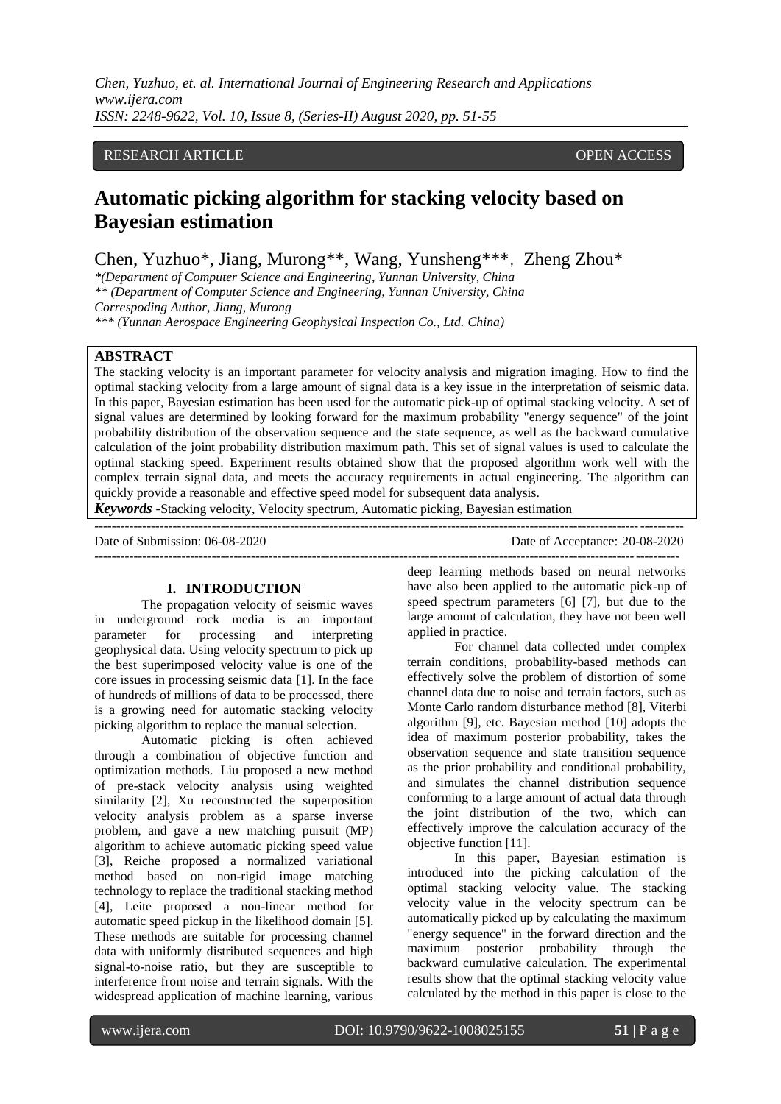*Chen, Yuzhuo, et. al. International Journal of Engineering Research and Applications www.ijera.com ISSN: 2248-9622, Vol. 10, Issue 8, (Series-II) August 2020, pp. 51-55*

# RESEARCH ARTICLE **CONSERVERS** OPEN ACCESS

# **Automatic picking algorithm for stacking velocity based on Bayesian estimation**

Chen, Yuzhuo\*, Jiang, Murong\*\*, Wang, Yunsheng\*\*\*, Zheng Zhou\*

*\*(Department of Computer Science and Engineering, Yunnan University, China*

*\*\* (Department of Computer Science and Engineering, Yunnan University, China*

*Correspoding Author, Jiang, Murong*

*\*\*\* (Yunnan Aerospace Engineering Geophysical Inspection Co., Ltd. China)*

## **ABSTRACT**

The stacking velocity is an important parameter for velocity analysis and migration imaging. How to find the optimal stacking velocity from a large amount of signal data is a key issue in the interpretation of seismic data. In this paper, Bayesian estimation has been used for the automatic pick-up of optimal stacking velocity. A set of signal values are determined by looking forward for the maximum probability "energy sequence" of the joint probability distribution of the observation sequence and the state sequence, as well as the backward cumulative calculation of the joint probability distribution maximum path. This set of signal values is used to calculate the optimal stacking speed. Experiment results obtained show that the proposed algorithm work well with the complex terrain signal data, and meets the accuracy requirements in actual engineering. The algorithm can quickly provide a reasonable and effective speed model for subsequent data analysis.

*Keywords* **-**Stacking velocity, Velocity spectrum, Automatic picking, Bayesian estimation

---------------------------------------------------------------------------------------------------------------------------------------

--------------------------------------------------------------------------------------------------------------------------------------

Date of Submission: 06-08-2020 Date of Acceptance: 20-08-2020

### **I. INTRODUCTION**

The propagation velocity of seismic waves in underground rock media is an important parameter for processing and interpreting geophysical data. Using velocity spectrum to pick up the best superimposed velocity value is one of the core issues in processing seismic data [1]. In the face of hundreds of millions of data to be processed, there is a growing need for automatic stacking velocity picking algorithm to replace the manual selection.

Automatic picking is often achieved through a combination of objective function and optimization methods. Liu proposed a new method of pre-stack velocity analysis using weighted similarity [2], Xu reconstructed the superposition velocity analysis problem as a sparse inverse problem, and gave a new matching pursuit (MP) algorithm to achieve automatic picking speed value [3], Reiche proposed a normalized variational method based on non-rigid image matching technology to replace the traditional stacking method [4], Leite proposed a non-linear method for automatic speed pickup in the likelihood domain [5]. These methods are suitable for processing channel data with uniformly distributed sequences and high signal-to-noise ratio, but they are susceptible to interference from noise and terrain signals. With the widespread application of machine learning, various

deep learning methods based on neural networks have also been applied to the automatic pick-up of speed spectrum parameters [6] [7], but due to the large amount of calculation, they have not been well applied in practice.

For channel data collected under complex terrain conditions, probability-based methods can effectively solve the problem of distortion of some channel data due to noise and terrain factors, such as Monte Carlo random disturbance method [8], Viterbi algorithm [9], etc. Bayesian method [10] adopts the idea of maximum posterior probability, takes the observation sequence and state transition sequence as the prior probability and conditional probability, and simulates the channel distribution sequence conforming to a large amount of actual data through the joint distribution of the two, which can effectively improve the calculation accuracy of the objective function [11].

In this paper, Bayesian estimation is introduced into the picking calculation of the optimal stacking velocity value. The stacking velocity value in the velocity spectrum can be automatically picked up by calculating the maximum "energy sequence" in the forward direction and the maximum posterior probability through the backward cumulative calculation. The experimental results show that the optimal stacking velocity value calculated by the method in this paper is close to the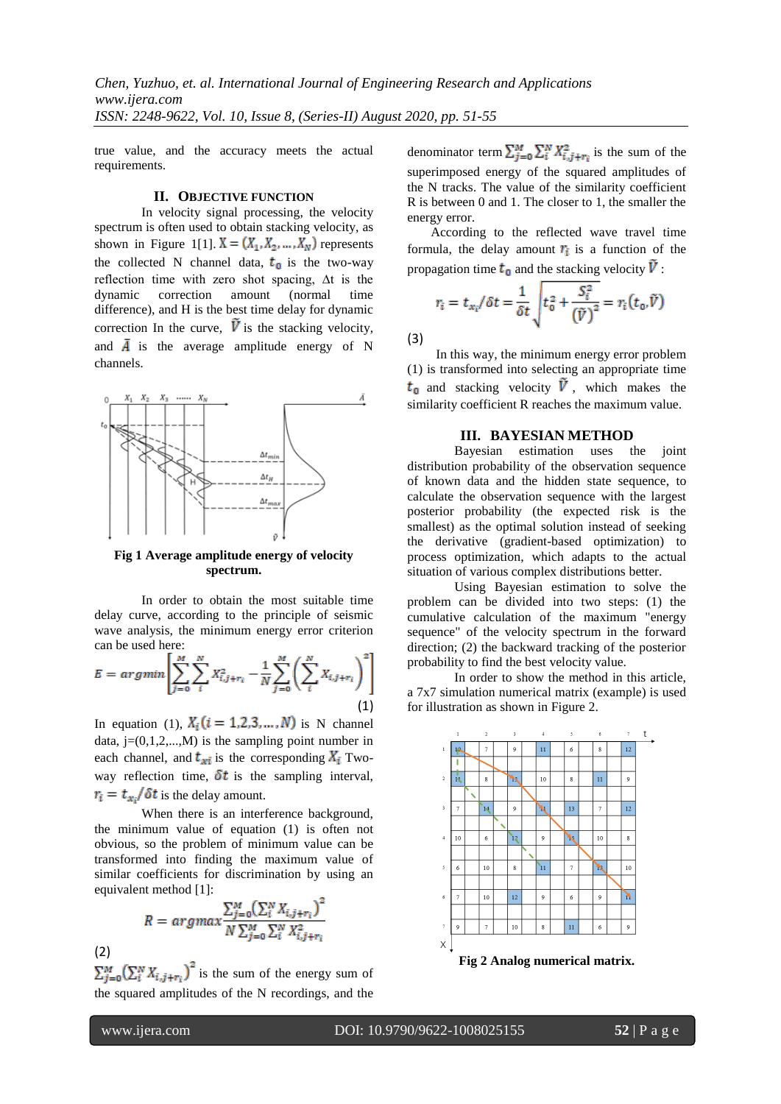true value, and the accuracy meets the actual requirements.

#### **II. OBJECTIVE FUNCTION**

In velocity signal processing, the velocity spectrum is often used to obtain stacking velocity, as shown in Figure 1[1].  $X = (X_1, X_2, ..., X_N)$  represents the collected N channel data,  $t_0$  is the two-way reflection time with zero shot spacing, ∆t is the dynamic correction amount difference), and H is the best time delay for dynamic correction In the curve,  $\vec{V}$  is the stacking velocity, and  $\overline{A}$  is the average amplitude energy of N channels.



**Fig 1 Average amplitude energy of velocity spectrum.**

In order to obtain the most suitable time delay curve, according to the principle of seismic wave analysis, the minimum energy error criterion can be used here:

$$
E = argmin\left[\sum_{j=0}^{M} \sum_{i}^{N} X_{i,j+r_i}^2 - \frac{1}{N} \sum_{j=0}^{M} \left(\sum_{i}^{N} X_{i,j+r_i}\right)^2\right]
$$
\n(1)

In equation (1),  $X_i$  ( $i = 1, 2, 3, ..., N$ ) is N channel data,  $j=(0,1,2,...,M)$  is the sampling point number in each channel, and  $t_{xi}$  is the corresponding  $X_i$  Twoway reflection time,  $\delta t$  is the sampling interval,  $r_i = t_{\alpha i}/\delta t$  is the delay amount.

When there is an interference background, the minimum value of equation (1) is often not obvious, so the problem of minimum value can be transformed into finding the maximum value of similar coefficients for discrimination by using an equivalent method [1]:

$$
R = argmax \frac{\sum_{j=0}^{M} (\sum_{i}^{N} X_{i,j+r_i})^2}{N \sum_{j=0}^{M} \sum_{i}^{N} X_{i,j+r_i}^2}
$$

 $\sum_{j=0}^{M} (\sum_{i=1}^{N} X_{i,j+r_i})^2$  is the sum of the energy sum of the squared amplitudes of the N recordings, and the denominator term  $\sum_{j=0}^{M} \sum_{i=1}^{N} X_{i,j+r_i}^2$  is the sum of the superimposed energy of the squared amplitudes of the N tracks. The value of the similarity coefficient R is between 0 and 1. The closer to 1, the smaller the energy error.

According to the reflected wave travel time formula, the delay amount  $r_i$  is a function of the propagation time  $t_0$  and the stacking velocity  $\overline{V}$ .

$$
r_i = t_{xi}/\delta t = \frac{1}{\delta t} \sqrt{t_0^2 + \frac{S_i^2}{(\tilde{V})^2}} = r_i(t_0, \tilde{V})
$$

(3)

In this way, the minimum energy error problem (1) is transformed into selecting an appropriate time  $t_0$  and stacking velocity  $\tilde{V}$ , which makes the similarity coefficient R reaches the maximum value.

### **III. BAYESIAN METHOD**

Bayesian estimation uses the joint distribution probability of the observation sequence of known data and the hidden state sequence, to calculate the observation sequence with the largest posterior probability (the expected risk is the smallest) as the optimal solution instead of seeking the derivative (gradient-based optimization) to process optimization, which adapts to the actual situation of various complex distributions better.

Using Bayesian estimation to solve the problem can be divided into two steps: (1) the cumulative calculation of the maximum "energy sequence" of the velocity spectrum in the forward direction; (2) the backward tracking of the posterior probability to find the best velocity value.

In order to show the method in this article, a 7x7 simulation numerical matrix (example) is used for illustration as shown in Figure 2.



I

(2)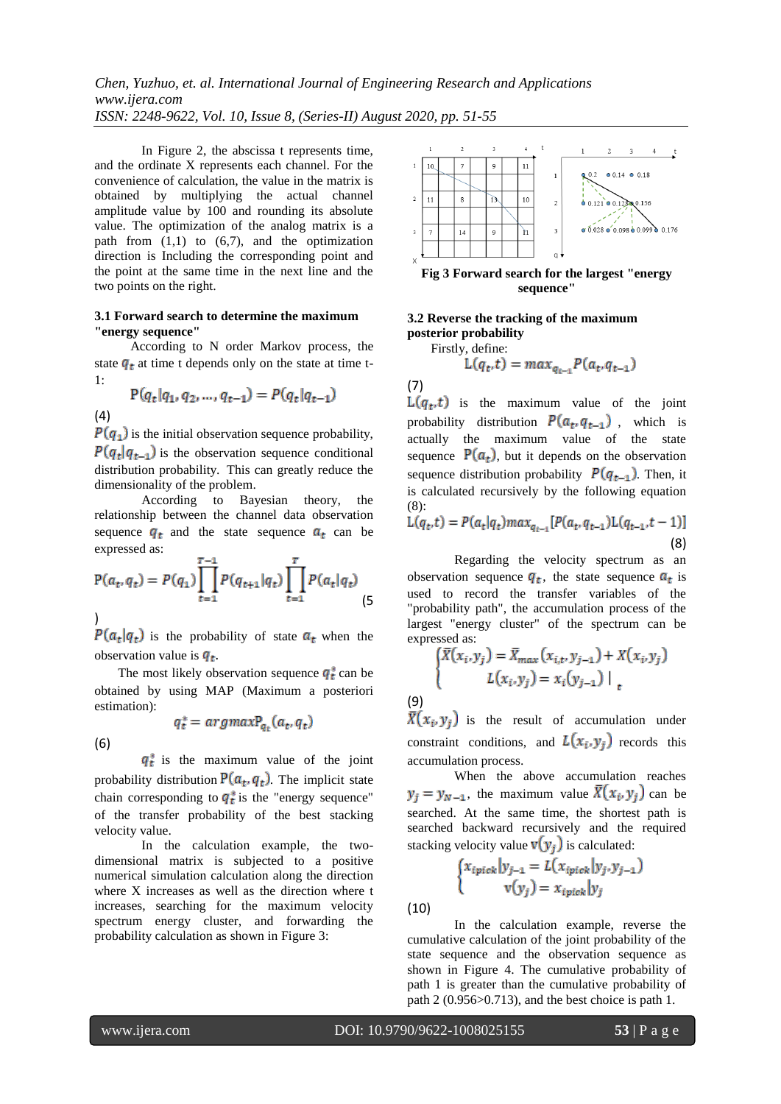In Figure 2, the abscissa t represents time, and the ordinate X represents each channel. For the convenience of calculation, the value in the matrix is obtained by multiplying the actual channel amplitude value by 100 and rounding its absolute value. The optimization of the analog matrix is a path from  $(1,1)$  to  $(6,7)$ , and the optimization direction is Including the corresponding point and the point at the same time in the next line and the two points on the right.

### **3.1 Forward search to determine the maximum "energy sequence"**

According to N order Markov process, the state  $q_t$  at time t depends only on the state at time t-1:

 $P(q_t|q_1, q_2, ..., q_{t-1}) = P(q_t|q_{t-1})$ 

 $P(q_1)$  is the initial observation sequence probability,  $P(q_t|q_{t-1})$  is the observation sequence conditional distribution probability. This can greatly reduce the dimensionality of the problem.

According to Bayesian theory, the relationship between the channel data observation sequence  $q_t$  and the state sequence  $a_t$  can be expressed as:

$$
P(a_t, q_t) = P(q_1) \prod_{t=1}^{T-1} P(q_{t+1} | q_t) \prod_{t=1}^{T} P(a_t | q_t)
$$
(5)

)  $P(a_t|q_t)$  is the probability of state  $a_t$  when the observation value is  $q_t$ .

The most likely observation sequence  $q_t^*$  can be obtained by using MAP (Maximum a posteriori estimation):  $q_t^* = argmax P_{a_t}(a_t, q_t)$ 

(6)

(4)

 $q_t^*$  is the maximum value of the joint probability distribution  $P(a_t, q_t)$ . The implicit state chain corresponding to  $q_t^*$  is the "energy sequence" of the transfer probability of the best stacking velocity value.

In the calculation example, the twodimensional matrix is subjected to a positive numerical simulation calculation along the direction where X increases as well as the direction where t increases, searching for the maximum velocity spectrum energy cluster, and forwarding the probability calculation as shown in Figure 3:



**sequence"**

# **3.2 Reverse the tracking of the maximum posterior probability**

Firstly, define:

$$
L(q_t, t) = max_{q_{t-1}} P(a_t, q_{t-1})
$$

(7)

 $L(q_t, t)$  is the maximum value of the joint probability distribution  $P(a_t, q_{t-1})$ , which is actually the maximum value of the state sequence  $P(a_t)$ , but it depends on the observation sequence distribution probability  $P(q_{t-1})$ . Then, it is calculated recursively by the following equation (8):

$$
L(q_t, t) = P(a_t | q_t) max_{q_{t-1}} [P(a_t, q_{t-1}) L(q_{t-1}, t-1)]
$$
\n(8)

Regarding the velocity spectrum as an observation sequence  $q_t$ , the state sequence  $a_t$  is used to record the transfer variables of the "probability path", the accumulation process of the largest "energy cluster" of the spectrum can be expressed as:

$$
\begin{cases} \bar{X}(x_i, y_j) = \bar{X}_{max}(x_{i,t}, y_{j-1}) + X(x_i, y_j) \\ L(x_i, y_j) = x_i(y_{j-1}) \big|_{t} \end{cases}
$$

(9)

is the result of accumulation under constraint conditions, and  $L(x_i, y_i)$  records this accumulation process.

When the above accumulation reaches  $y_j = y_{N-1}$ , the maximum value  $\bar{X}(x_i, y_j)$  can be searched. At the same time, the shortest path is searched backward recursively and the required stacking velocity value  $\mathbf{v}(\mathbf{y}_j)$  is calculated:

$$
\begin{cases} x_{ipick} | y_{j-1} = L(x_{ipick} | y_j, y_{j-1}) \\ v(y_j) = x_{ipick} | y_j \end{cases}
$$

(10)

In the calculation example, reverse the cumulative calculation of the joint probability of the state sequence and the observation sequence as shown in Figure 4. The cumulative probability of path 1 is greater than the cumulative probability of path 2 (0.956>0.713), and the best choice is path 1.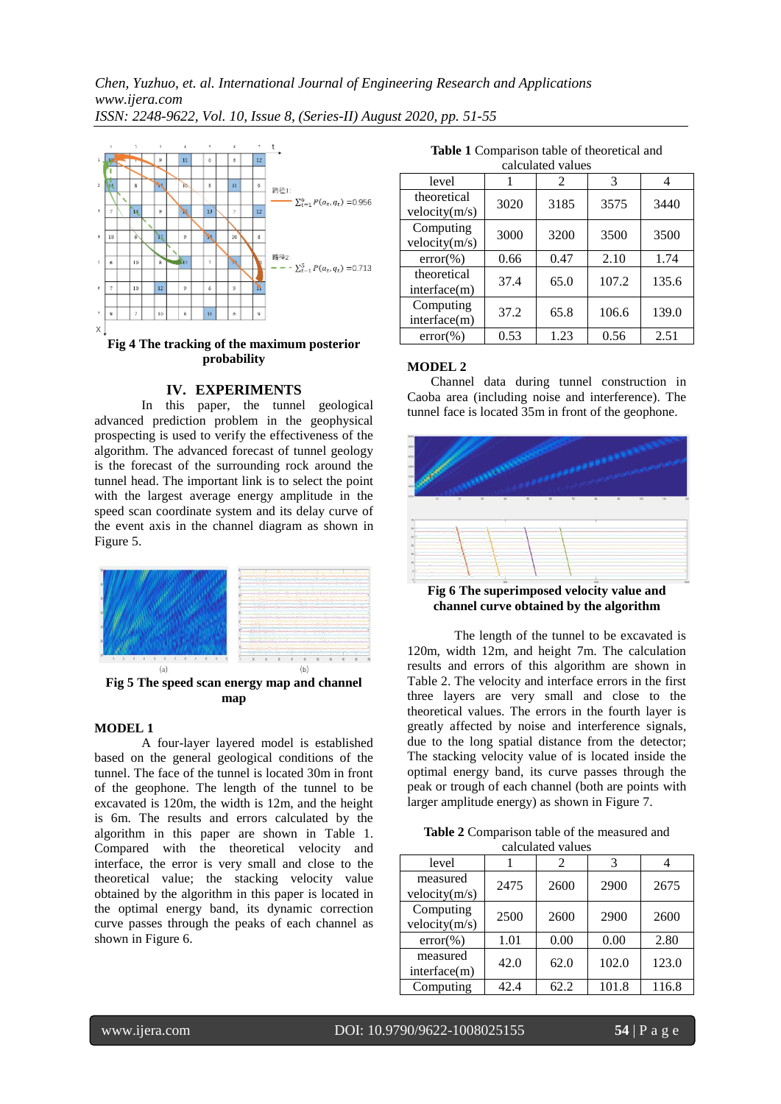*Chen, Yuzhuo, et. al. International Journal of Engineering Research and Applications www.ijera.com ISSN: 2248-9622, Vol. 10, Issue 8, (Series-II) August 2020, pp. 51-55*



### **IV. EXPERIMENTS**

In this paper, the tunnel geological advanced prediction problem in the geophysical prospecting is used to verify the effectiveness of the algorithm. The advanced forecast of tunnel geology is the forecast of the surrounding rock around the tunnel head. The important link is to select the point with the largest average energy amplitude in the speed scan coordinate system and its delay curve of the event axis in the channel diagram as shown in Figure 5.



**Fig 5 The speed scan energy map and channel map**

### **MODEL 1**

A four-layer layered model is established based on the general geological conditions of the tunnel. The face of the tunnel is located 30m in front of the geophone. The length of the tunnel to be excavated is 120m, the width is 12m, and the height is 6m. The results and errors calculated by the algorithm in this paper are shown in Table 1. Compared with the theoretical velocity and interface, the error is very small and close to the theoretical value; the stacking velocity value obtained by the algorithm in this paper is located in the optimal energy band, its dynamic correction curve passes through the peaks of each channel as shown in Figure 6.

**Table 1** Comparison table of theoretical and

| calculated values            |      |                |       |       |  |  |  |
|------------------------------|------|----------------|-------|-------|--|--|--|
| level                        |      | $\mathfrak{D}$ | 3     | 4     |  |  |  |
| theoretical<br>velocity(m/s) | 3020 | 3185           | 3575  | 3440  |  |  |  |
| Computing<br>velocity(m/s)   | 3000 | 3200           | 3500  | 3500  |  |  |  |
| $error(\% )$                 | 0.66 | 0.47           | 2.10  | 1.74  |  |  |  |
| theoretical<br>interface(m)  | 37.4 | 65.0           | 107.2 | 135.6 |  |  |  |
| Computing<br>interface(m)    | 37.2 | 65.8           | 106.6 | 139.0 |  |  |  |
| $error(\% )$                 | 0.53 | 1.23           | 0.56  | 2.51  |  |  |  |

### **MODEL 2**

Channel data during tunnel construction in Caoba area (including noise and interference). The tunnel face is located 35m in front of the geophone.



**Fig 6 The superimposed velocity value and channel curve obtained by the algorithm**

The length of the tunnel to be excavated is 120m, width 12m, and height 7m. The calculation results and errors of this algorithm are shown in Table 2. The velocity and interface errors in the first three layers are very small and close to the theoretical values. The errors in the fourth layer is greatly affected by noise and interference signals, due to the long spatial distance from the detector; The stacking velocity value of is located inside the optimal energy band, its curve passes through the peak or trough of each channel (both are points with larger amplitude energy) as shown in Figure 7.

**Table 2** Comparison table of the measured and calculated values

| calcalated values          |      |      |       |       |  |  |  |
|----------------------------|------|------|-------|-------|--|--|--|
| level                      |      | 2    | 3     |       |  |  |  |
| measured<br>velocity(m/s)  | 2475 | 2600 | 2900  | 2675  |  |  |  |
| Computing<br>velocity(m/s) | 2500 | 2600 | 2900  | 2600  |  |  |  |
| $error(\% )$               | 1.01 | 0.00 | 0.00  | 2.80  |  |  |  |
| measured<br>interface(m)   | 42.0 | 62.0 | 102.0 | 123.0 |  |  |  |
| Computing                  | 42.4 | 62.2 | 101.8 | 116.8 |  |  |  |